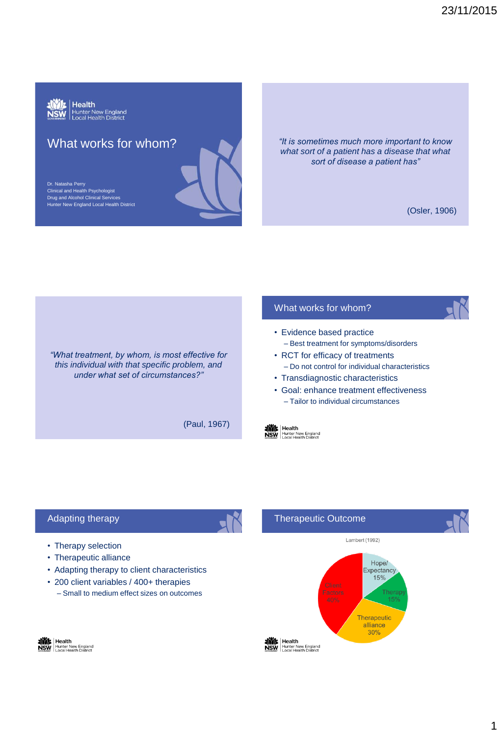

# What works for whom?

Dr. Natasha Perry Clinical and Health Psychologist Drug and Alcohol Clinical Services Hunter New England Local Health District *"It is sometimes much more important to know what sort of a patient has a disease that what* 

(Osler, 1906)

*"What treatment, by whom, is most effective for this individual with that specific problem, and under what set of circumstances?"* 

(Paul, 1967)

# What works for whom?

- Evidence based practice – Best treatment for symptoms/disorders
- RCT for efficacy of treatments – Do not control for individual characteristics

*sort of disease a patient has"* 

- Transdiagnostic characteristics
- Goal: enhance treatment effectiveness – Tailor to individual circumstances

Lambert (1992)

Hope/

 $15%$ 

 $30\%$ 

**Thera**  $15%$ 



Therapeutic Outcome

# Adapting therapy

- Therapy selection
- Therapeutic alliance
- Adapting therapy to client characteristics
- 200 client variables / 400+ therapies – Small to medium effect sizes on outcomes